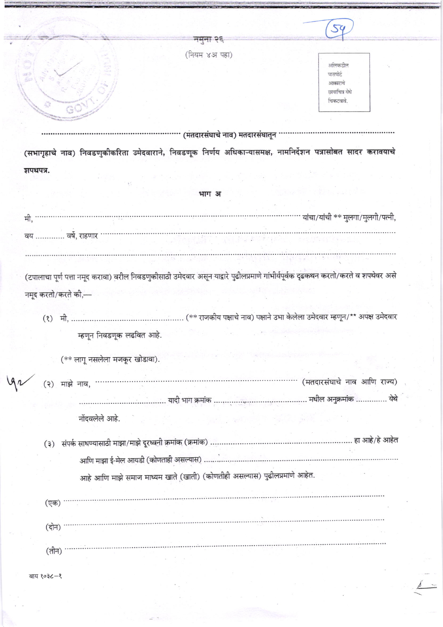|                                                                                                                                    | नमना २६                        |                                   |  |
|------------------------------------------------------------------------------------------------------------------------------------|--------------------------------|-----------------------------------|--|
|                                                                                                                                    | (नियम ४अ पहा)                  |                                   |  |
|                                                                                                                                    |                                | अलिकडील                           |  |
|                                                                                                                                    |                                | पासपोर्ट                          |  |
|                                                                                                                                    |                                | आकाराचे<br>छायाचित्र येथे         |  |
|                                                                                                                                    |                                | चिकटवावे.                         |  |
|                                                                                                                                    |                                |                                   |  |
|                                                                                                                                    |                                |                                   |  |
|                                                                                                                                    | (मतदारसंघाचे नाव) मतदारसंघातून |                                   |  |
| (सभागृहाचे नाव) निवडणुकीकरिता उमेदवाराने, निवडणूक निर्णय अधिकाऱ्यासमक्ष, नामनिर्देशन पत्रासोबत सादर करावयाचे                       |                                |                                   |  |
|                                                                                                                                    | भाग अ                          |                                   |  |
|                                                                                                                                    |                                |                                   |  |
| मी,                                                                                                                                |                                | यांचा/यांची ** मुलगा/मुलगी/पत्नी, |  |
| वर्षे, राहणार<br>वय                                                                                                                |                                |                                   |  |
|                                                                                                                                    |                                |                                   |  |
|                                                                                                                                    |                                |                                   |  |
| (टपालाचा पूर्ण पत्ता नमूद करावा) वरील निवडणुकीसाठी उमेदवार असून याद्वारे पुढीलप्रमाणे गांभीर्यपूर्वक दृढकथन करतो/करते व शपथेवर असे |                                |                                   |  |
|                                                                                                                                    |                                |                                   |  |
| नमूद करतो/करते की,—                                                                                                                |                                |                                   |  |
|                                                                                                                                    |                                |                                   |  |
|                                                                                                                                    |                                |                                   |  |
| म्हणून निवडणूक लढवित आहे.                                                                                                          |                                |                                   |  |
|                                                                                                                                    |                                |                                   |  |
| (** लागू नसलेला मजकूर खोडावा).                                                                                                     |                                |                                   |  |

नोंदवलेले आहे.

आहे आणि माझे समाज माध्यम खाते (खाती) (कोणतीही असल्यास) पुढीलप्रमाणे आहेत.

(एक) <sup>.....</sup> (दोन) '  $\overline{(\overline{d}}$ न)  $\cdots$ 

वाय १०३८–१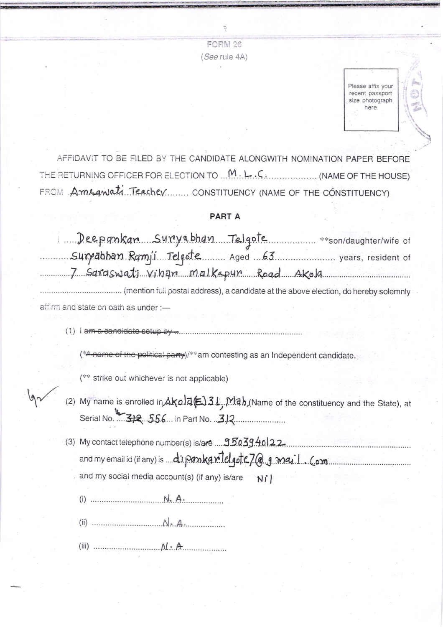**FORM 26** (See rule 4A)

> Please affix your recent passport size photograph here

AFFIDAVIT TO BE FILED BY THE CANDIDATE ALONGWITH NOMINATION PAPER BEFORE THE RETURNING OFFICER FOR ELECTION TO ... M. L.C. C. .................. (NAME OF THE HOUSE) FROM Amsquiati Teacher CONSTITUENCY (NAME OF THE CONSTITUENCY)

## PART A

| Deeponkan survabhan Telgote<br>** son/daughter/wife of                                                                                   |  |
|------------------------------------------------------------------------------------------------------------------------------------------|--|
| Surrabhan Ramji Telqote Aged 63 varmen years, resident of                                                                                |  |
| 7 Saraswati vihan malkapun Road Akola                                                                                                    |  |
| (mention full postal address), a candidate at the above election, do hereby solemnly                                                     |  |
| affirm and state on oath as under :-                                                                                                     |  |
| <del>a candidate setup py</del>                                                                                                          |  |
| mame of the political party)/**am contesting as an Independent candidate.                                                                |  |
| (** strike out whichever is not applicable)                                                                                              |  |
| (2) My name is enrolled in $A \times 0.75$ ( $\geq$ ) 31, Mab (Name of the constituency and the State), at Serial No. $\rightarrow$ 312. |  |
|                                                                                                                                          |  |
| (3) My contact telephone number(s) is/are  95039.40122.                                                                                  |  |

and my email id (if any) is ... di pankan lelgote 7@g.mail.com

and my social media account(s) (if any) is/are  $NI$ 

(i)  $...$   $N_A$ .

(g